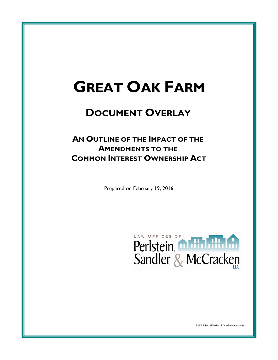# **GREAT OAK FARM**

# **DOCUMENT OVERLAY**

# **AN OUTLINE OF THE IMPACT OF THE AMENDMENTS TO THE COMMON INTEREST OWNERSHIP ACT**

Prepared on February 19, 2016



P:\FILES\1188\001\A-3 Overlay\Overlay.frm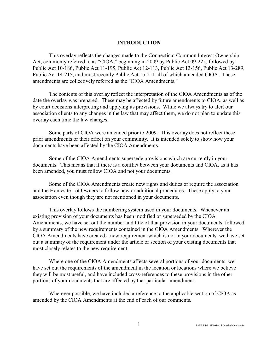#### **INTRODUCTION**

This overlay reflects the changes made to the Connecticut Common Interest Ownership Act, commonly referred to as "CIOA," beginning in 2009 by Public Act 09-225, followed by Public Act 10-186, Public Act 11-195, Public Act 12-113, Public Act 13-156, Public Act 13-289, Public Act 14-215, and most recently Public Act 15-211 all of which amended CIOA. These amendments are collectively referred as the "CIOA Amendments."

The contents of this overlay reflect the interpretation of the CIOA Amendments as of the date the overlay was prepared. These may be affected by future amendments to CIOA, as well as by court decisions interpreting and applying its provisions. While we always try to alert our association clients to any changes in the law that may affect them, we do not plan to update this overlay each time the law changes.

Some parts of CIOA were amended prior to 2009. This overlay does not reflect these prior amendments or their effect on your community. It is intended solely to show how your documents have been affected by the CIOA Amendments.

Some of the CIOA Amendments supersede provisions which are currently in your documents. This means that if there is a conflict between your documents and CIOA, as it has been amended, you must follow CIOA and not your documents.

Some of the CIOA Amendments create new rights and duties or require the association and the Homesite Lot Owners to follow new or additional procedures. These apply to your association even though they are not mentioned in your documents.

This overlay follows the numbering system used in your documents. Whenever an existing provision of your documents has been modified or superseded by the CIOA Amendments, we have set out the number and title of that provision in your documents, followed by a summary of the new requirements contained in the CIOA Amendments. Wherever the CIOA Amendments have created a new requirement which is not in your documents, we have set out a summary of the requirement under the article or section of your existing documents that most closely relates to the new requirement.

Where one of the CIOA Amendments affects several portions of your documents, we have set out the requirements of the amendment in the location or locations where we believe they will be most useful, and have included cross-references to these provisions in the other portions of your documents that are affected by that particular amendment.

Wherever possible, we have included a reference to the applicable section of CIOA as amended by the CIOA Amendments at the end of each of our comments.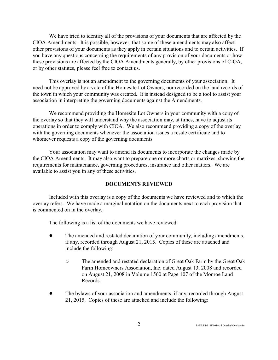We have tried to identify all of the provisions of your documents that are affected by the CIOA Amendments. It is possible, however, that some of these amendments may also affect other provisions of your documents as they apply in certain situations and to certain activities. If you have any questions concerning the requirements of any provision of your documents or how these provisions are affected by the CIOA Amendments generally, by other provisions of CIOA, or by other statutes, please feel free to contact us.

This overlay is not an amendment to the governing documents of your association. It need not be approved by a vote of the Homesite Lot Owners, nor recorded on the land records of the town in which your community was created. It is instead designed to be a tool to assist your association in interpreting the governing documents against the Amendments.

We recommend providing the Homesite Lot Owners in your community with a copy of the overlay so that they will understand why the association may, at times, have to adjust its operations in order to comply with CIOA. We also recommend providing a copy of the overlay with the governing documents whenever the association issues a resale certificate and to whomever requests a copy of the governing documents.

Your association may want to amend its documents to incorporate the changes made by the CIOA Amendments. It may also want to prepare one or more charts or matrixes, showing the requirements for maintenance, governing procedures, insurance and other matters. We are available to assist you in any of these activities.

#### **DOCUMENTS REVIEWED**

Included with this overlay is a copy of the documents we have reviewed and to which the overlay refers. We have made a marginal notation on the documents next to each provision that is commented on in the overlay.

The following is a list of the documents we have reviewed:

- The amended and restated declaration of your community, including amendments, if any, recorded through August 21, 2015. Copies of these are attached and include the following:
	- <sup>o</sup> The amended and restated declaration of Great Oak Farm by the Great Oak Farm Homeowners Association, Inc. dated August 13, 2008 and recorded on August 21, 2008 in Volume 1560 at Page 107 of the Monroe Land Records.
- ! The bylaws of your association and amendments, if any, recorded through August 21, 2015. Copies of these are attached and include the following: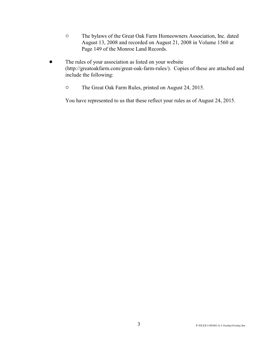- $\circ$  The bylaws of the Great Oak Farm Homeowners Association, Inc. dated August 13, 2008 and recorded on August 21, 2008 in Volume 1560 at Page 149 of the Monroe Land Records.
- The rules of your association as listed on your website (http://greatoakfarm.com/great-oak-farm-rules/). Copies of these are attached and include the following:
	- <sup>o</sup> The Great Oak Farm Rules, printed on August 24, 2015.

You have represented to us that these reflect your rules as of August 24, 2015.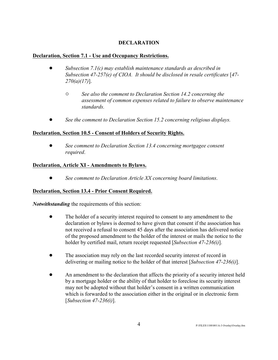### **DECLARATION**

#### **Declaration, Section 7.1 - Use and Occupancy Restrictions.**

- ! *Subsection 7.1(c) may establish maintenance standards as described in Subsection 47-257(e) of CIOA. It should be disclosed in resale certificates* [*47- 270(a)(17)*].
	- " *See also the comment to Declaration Section 14.2 concerning the assessment of common expenses related to failure to observe maintenance standards.*
- ! *See the comment to Declaration Section 15.2 concerning religious displays.*

#### **Declaration, Section 10.5 - Consent of Holders of Security Rights.**

! *See comment to Declaration Section 13.4 concerning mortgagee consent required*.

#### **Declaration, Article XI - Amendments to Bylaws.**

! *See comment to Declaration Article XX concerning board limitations*.

#### **Declaration, Section 13.4 - Prior Consent Required.**

*Notwithstanding* the requirements of this section:

- ! The holder of a security interest required to consent to any amendment to the declaration or bylaws is deemed to have given that consent if the association has not received a refusal to consent 45 days after the association has delivered notice of the proposed amendment to the holder of the interest or mails the notice to the holder by certified mail, return receipt requested [*Subsection 47-236(i)*].
- ! The association may rely on the last recorded security interest of record in delivering or mailing notice to the holder of that interest [*Subsection 47-236(i)*].
- An amendment to the declaration that affects the priority of a security interest held by a mortgage holder or the ability of that holder to foreclose its security interest may not be adopted without that holder's consent in a written communication which is forwarded to the association either in the original or in electronic form [*Subsection 47-236(i)*].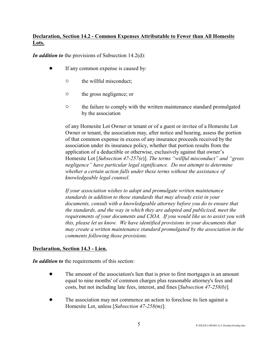# **Declaration, Section 14.2 - Common Expenses Attributable to Fewer than All Homesite Lots.**

*In addition to* the provisions of Subsection 14.2(d):

- If any common expense is caused by:
	- $\circ$  the willful misconduct;
	- o the gross negligence; or
	- <sup>o</sup> the failure to comply with the written maintenance standard promulgated by the association

of any Homesite Lot Owner or tenant or of a guest or invitee of a Homesite Lot Owner or tenant, the association may, after notice and hearing, assess the portion of that common expense in excess of any insurance proceeds received by the association under its insurance policy, whether that portion results from the application of a deductible or otherwise, exclusively against that owner's Homesite Lot [*Subsection 47-257(e*)]. *The terms "willful misconduct" and "gross negligence" have particular legal significance. Do not attempt to determine whether a certain action falls under these terms without the assistance of knowledgeable legal counsel.*

*If your association wishes to adopt and promulgate written maintenance standards in addition to those standards that may already exist in your documents, consult with a knowledgeable attorney before you do to ensure that the standards, and the way in which they are adopted and publicized, meet the requirements of your documents and CIOA. If you would like us to assist you with this, please let us know. We have identified provisions in your documents that may create a written maintenance standard promulgated by the association in the comments following those provisions.*

#### **Declaration, Section 14.3 - Lien.**

*In addition to* the requirements of this section:

- The amount of the association's lien that is prior to first mortgages is an amount equal to nine months' of common charges plus reasonable attorney's fees and costs, but not including late fees, interest, and fines [*Subsection 47-258(b)*]*.*
- The association may not commence an action to foreclose its lien against a Homesite Lot, unless [*Subsection 47-258(m)*]: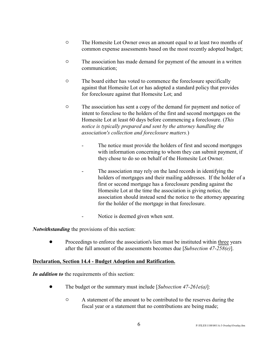- <sup>o</sup> The Homesite Lot Owner owes an amount equal to at least two months of common expense assessments based on the most recently adopted budget;
- $\circ$  The association has made demand for payment of the amount in a written communication;
- <sup>o</sup> The board either has voted to commence the foreclosure specifically against that Homesite Lot or has adopted a standard policy that provides for foreclosure against that Homesite Lot; and
- <sup>o</sup> The association has sent a copy of the demand for payment and notice of intent to foreclose to the holders of the first and second mortgages on the Homesite Lot at least 60 days before commencing a foreclosure. (*This notice is typically prepared and sent by the attorney handling the association's collection and foreclosure matters.*)
	- The notice must provide the holders of first and second mortgages with information concerning to whom they can submit payment, if they chose to do so on behalf of the Homesite Lot Owner.
	- The association may rely on the land records in identifying the holders of mortgages and their mailing addresses. If the holder of a first or second mortgage has a foreclosure pending against the Homesite Lot at the time the association is giving notice, the association should instead send the notice to the attorney appearing for the holder of the mortgage in that foreclosure.
	- Notice is deemed given when sent.

*Notwithstanding* the provisions of this section:

• Proceedings to enforce the association's lien must be instituted within three years after the full amount of the assessments becomes due [*Subsection 47-258(e)*].

#### **Declaration, Section 14.4 - Budget Adoption and Ratification.**

*In addition to* the requirements of this section:

- ! The budget or the summary must include [*Subsection 47-261e(a)*]:
	- $\circ$  A statement of the amount to be contributed to the reserves during the fiscal year or a statement that no contributions are being made;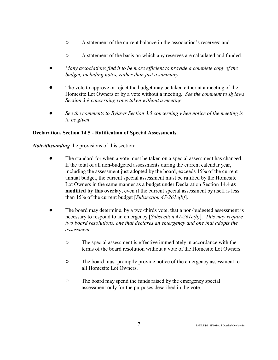- $\circ$  A statement of the current balance in the association's reserves; and
- $\circ$  A statement of the basis on which any reserves are calculated and funded.
- ! *Many associations find it to be more efficient to provide a complete copy of the budget, including notes, rather than just a summary.*
- ! The vote to approve or reject the budget may be taken either at a meeting of the Homesite Lot Owners or by a vote without a meeting. *See the comment to Bylaws Section 3.8 concerning votes taken without a meeting*.
- ! *See the comments to Bylaws Section 3.5 concerning when notice of the meeting is to be given*.

#### **Declaration, Section 14.5 - Ratification of Special Assessments.**

*Notwithstanding* the provisions of this section:

- The standard for when a vote must be taken on a special assessment has changed. If the total of all non-budgeted assessments during the current calendar year, including the assessment just adopted by the board, exceeds 15% of the current annual budget, the current special assessment must be ratified by the Homesite Lot Owners in the same manner as a budget under Declaration Section 14.4 **as modified by this overlay**, even if the current special assessment by itself is less than 15% of the current budget [*Subsection 47-261e(b)*].
- ! The board may determine, by a two-thirds vote, that a non-budgeted assessment is necessary to respond to an emergency [*Subsection 47-261e(b)*]. *This may require two board resolutions, one that declares an emergency and one that adopts the assessment.*
	- <sup>o</sup> The special assessment is effective immediately in accordance with the terms of the board resolution without a vote of the Homesite Lot Owners.
	- <sup>o</sup> The board must promptly provide notice of the emergency assessment to all Homesite Lot Owners.
	- <sup>o</sup> The board may spend the funds raised by the emergency special assessment only for the purposes described in the vote.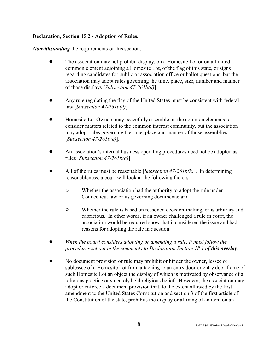#### **Declaration, Section 15.2 - Adoption of Rules.**

*Notwithstanding* the requirements of this section:

- The association may not prohibit display, on a Homesite Lot or on a limited common element adjoining a Homesite Lot, of the flag of this state, or signs regarding candidates for public or association office or ballot questions, but the association may adopt rules governing the time, place, size, number and manner of those displays [*Subsection 47-261b(d)*].
- ! Any rule regulating the flag of the United States must be consistent with federal law [*Subsection 47-261b(d)*].
- ! Homesite Lot Owners may peacefully assemble on the common elements to consider matters related to the common interest community, but the association may adopt rules governing the time, place and manner of those assemblies [*Subsection 47-261b(e)*].
- ! An association's internal business operating procedures need not be adopted as rules [*Subsection 47-261b(g)*].
- ! All of the rules must be reasonable [*Subsection 47-261b(h)*]. In determining reasonableness, a court will look at the following factors:
	- $\circ$  Whether the association had the authority to adopt the rule under Connecticut law or its governing documents; and
	- " Whether the rule is based on reasoned decision-making, or is arbitrary and capricious. In other words, if an owner challenged a rule in court, the association would be required show that it considered the issue and had reasons for adopting the rule in question.
- ! *When the board considers adopting or amending a rule, it must follow the procedures set out in the comments to Declaration Section 18.1 of this overlay*.
- ! No document provision or rule may prohibit or hinder the owner, lessee or sublessee of a Homesite Lot from attaching to an entry door or entry door frame of such Homesite Lot an object the display of which is motivated by observance of a religious practice or sincerely held religious belief. However, the association may adopt or enforce a document provision that, to the extent allowed by the first amendment to the United States Constitution and section 3 of the first article of the Constitution of the state, prohibits the display or affixing of an item on an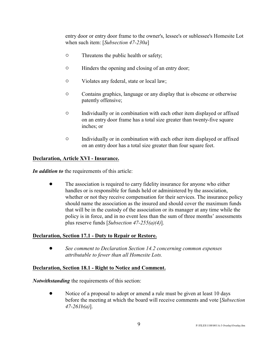entry door or entry door frame to the owner's, lessee's or sublessee's Homesite Lot when such item: [*Subsection 47-230a*]

- $\circ$  Threatens the public health or safety;
- $\circ$  Hinders the opening and closing of an entry door;
- $\circ$  Violates any federal, state or local law;
- $\circ$  Contains graphics, language or any display that is obscene or otherwise patently offensive;
- $\circ$  Individually or in combination with each other item displayed or affixed on an entry door frame has a total size greater than twenty-five square inches; or
- $\circ$  Individually or in combination with each other item displayed or affixed on an entry door has a total size greater than four square feet.

#### **Declaration, Article XVI - Insurance.**

*In addition to* the requirements of this article:

The association is required to carry fidelity insurance for anyone who either handles or is responsible for funds held or administered by the association, whether or not they receive compensation for their services. The insurance policy should name the association as the insured and should cover the maximum funds that will be in the custody of the association or its manager at any time while the policy is in force, and in no event less than the sum of three months' assessments plus reserve funds [*Subsection 47-255(a)(4)*].

#### **Declaration, Section 17.1 - Duty to Repair or Restore.**

! *See comment to Declaration Section 14.2 concerning common expenses attributable to fewer than all Homesite Lots.*

#### **Declaration, Section 18.1 - Right to Notice and Comment.**

*Notwithstanding* the requirements of this section:

Notice of a proposal to adopt or amend a rule must be given at least 10 days before the meeting at which the board will receive comments and vote [*Subsection 47-261b(a)*].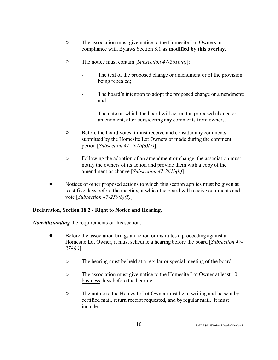- <sup>o</sup> The association must give notice to the Homesite Lot Owners in compliance with Bylaws Section 8.1 **as modified by this overlay**.
- " The notice must contain [*Subsection 47-261b(a)*]:
	- The text of the proposed change or amendment or of the provision being repealed;
	- The board's intention to adopt the proposed change or amendment; and
	- The date on which the board will act on the proposed change or amendment, after considering any comments from owners.
- $\circ$  Before the board votes it must receive and consider any comments submitted by the Homesite Lot Owners or made during the comment period [*Subsection 47-261b(a)(2)*].
- $\circ$  Following the adoption of an amendment or change, the association must notify the owners of its action and provide them with a copy of the amendment or change [*Subsection 47-261b(b)*].
- Notices of other proposed actions to which this section applies must be given at least five days before the meeting at which the board will receive comments and vote [*Subsection 47-250(b)(5)*].

#### **Declaration, Section 18.2 - Right to Notice and Hearing.**

*Notwithstanding* the requirements of this section:

- ! Before the association brings an action or institutes a proceeding against a Homesite Lot Owner, it must schedule a hearing before the board [*Subsection 47- 278(c)*].
	- $\circ$  The hearing must be held at a regular or special meeting of the board.
	- <sup>o</sup> The association must give notice to the Homesite Lot Owner at least 10 business days before the hearing.
	- <sup>o</sup> The notice to the Homesite Lot Owner must be in writing and be sent by certified mail, return receipt requested, and by regular mail. It must include: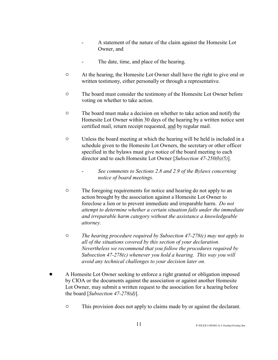- A statement of the nature of the claim against the Homesite Lot Owner, and
- The date, time, and place of the hearing.
- <sup>o</sup> At the hearing, the Homesite Lot Owner shall have the right to give oral or written testimony, either personally or through a representative.
- <sup> $\circ$ </sup> The board must consider the testimony of the Homesite Lot Owner before voting on whether to take action.
- <sup>o</sup> The board must make a decision on whether to take action and notify the Homesite Lot Owner within 30 days of the hearing by a written notice sent certified mail, return receipt requested, and by regular mail.
- $\circ$  Unless the board meeting at which the hearing will be held is included in a schedule given to the Homesite Lot Owners, the secretary or other officer specified in the bylaws must give notice of the board meeting to each director and to each Homesite Lot Owner [*Subsection 47-250(b)(5)*].
	- *See comments to Sections 2.8 and 2.9 of the Bylaws concerning notice of board meetings.*
- <sup>o</sup> The foregoing requirements for notice and hearing do not apply to an action brought by the association against a Homesite Lot Owner to foreclose a lien or to prevent immediate and irreparable harm. *Do not attempt to determine whether a certain situation falls under the immediate and irreparable harm category without the assistance a knowledgeable attorney.*
- " *The hearing procedure required by Subsection 47-278(c) may not apply to all of the situations covered by this section of your declaration. Nevertheless we recommend that you follow the procedures required by Subsection 47-278(c) whenever you hold a hearing. This way you will avoid any technical challenges to your decision later on.*
- ! A Homesite Lot Owner seeking to enforce a right granted or obligation imposed by CIOA or the documents against the association or against another Homesite Lot Owner, may submit a written request to the association for a hearing before the board [*Subsection 47-278(d)*].
	- $\circ$  This provision does not apply to claims made by or against the declarant.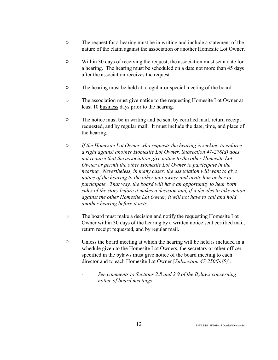- <sup>o</sup> The request for a hearing must be in writing and include a statement of the nature of the claim against the association or another Homesite Lot Owner.
- $\degree$  Within 30 days of receiving the request, the association must set a date for a hearing. The hearing must be scheduled on a date not more than 45 days after the association receives the request.
- $\circ$  The hearing must be held at a regular or special meeting of the board.
- <sup> $\circ$ </sup> The association must give notice to the requesting Homesite Lot Owner at least 10 business days prior to the hearing.
- <sup>o</sup> The notice must be in writing and be sent by certified mail, return receipt requested, and by regular mail. It must include the date, time, and place of the hearing.
- " *If the Homesite Lot Owner who requests the hearing is seeking to enforce a right against another Homesite Lot Owner, Subsection 47-278(d) does not require that the association give notice to the other Homesite Lot Owner or permit the other Homesite Lot Owner to participate in the hearing. Nevertheless, in many cases, the association will want to give notice of the hearing to the other unit owner and invite him or her to participate. That way, the board will have an opportunity to hear both sides of the story before it makes a decision and, if it decides to take action against the other Homesite Lot Owner, it will not have to call and hold another hearing before it acts.*
- <sup>o</sup> The board must make a decision and notify the requesting Homesite Lot Owner within 30 days of the hearing by a written notice sent certified mail, return receipt requested, and by regular mail.
- $\circ$  Unless the board meeting at which the hearing will be held is included in a schedule given to the Homesite Lot Owners, the secretary or other officer specified in the bylaws must give notice of the board meeting to each director and to each Homesite Lot Owner [*Subsection 47-250(b)(5)*].
	- *See comments to Sections 2.8 and 2.9 of the Bylaws concerning notice of board meetings.*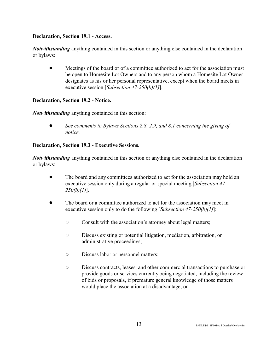#### **Declaration, Section 19.1 - Access.**

*Notwithstanding* anything contained in this section or anything else contained in the declaration or bylaws:

• Meetings of the board or of a committee authorized to act for the association must be open to Homesite Lot Owners and to any person whom a Homesite Lot Owner designates as his or her personal representative, except when the board meets in executive session [*Subsection 47-250(b)(1)*].

#### **Declaration, Section 19.2 - Notice.**

*Notwithstanding* anything contained in this section:

! *See comments to Bylaws Sections 2.8, 2.9, and 8.1 concerning the giving of notice.*

#### **Declaration, Section 19.3 - Executive Sessions.**

*Notwithstanding* anything contained in this section or anything else contained in the declaration or bylaws:

- The board and any committees authorized to act for the association may hold an executive session only during a regular or special meeting [*Subsection 47- 250(b)(1)*].
- The board or a committee authorized to act for the association may meet in executive session only to do the following [*Subsection 47-250(b)(1)*]:
	- $\circ$  Consult with the association's attorney about legal matters;
	- " Discuss existing or potential litigation, mediation, arbitration, or administrative proceedings;
	- $\circ$  Discuss labor or personnel matters;
	- " Discuss contracts, leases, and other commercial transactions to purchase or provide goods or services currently being negotiated, including the review of bids or proposals, if premature general knowledge of those matters would place the association at a disadvantage; or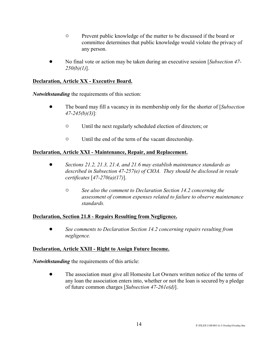- $\circ$  Prevent public knowledge of the matter to be discussed if the board or committee determines that public knowledge would violate the privacy of any person.
- ! No final vote or action may be taken during an executive session [*Subsection 47- 250(b)(1)*].

### **Declaration, Article XX - Executive Board.**

*Notwithstanding* the requirements of this section:

- ! The board may fill a vacancy in its membership only for the shorter of [*Subsection 47-245(b)(3)*]:
	- $\circ$  Until the next regularly scheduled election of directors; or
	- $\circ$  Until the end of the term of the vacant directorship.

### **Declaration, Article XXI - Maintenance, Repair, and Replacement.**

- ! *Sections 21.2, 21.3, 21.4, and 21.6 may establish maintenance standards as described in Subsection 47-257(e) of CIOA. They should be disclosed in resale certificates* [*47-270(a)(17)*].
	- " *See also the comment to Declaration Section 14.2 concerning the assessment of common expenses related to failure to observe maintenance standards.*

#### **Declaration, Section 21.8 - Repairs Resulting from Negligence.**

! *See comments to Declaration Section 14.2 concerning repairs resulting from negligence.*

#### **Declaration, Article XXII - Right to Assign Future Income.**

*Notwithstanding* the requirements of this article:

! The association must give all Homesite Lot Owners written notice of the terms of any loan the association enters into, whether or not the loan is secured by a pledge of future common charges [*Subsection 47-261e(d)*].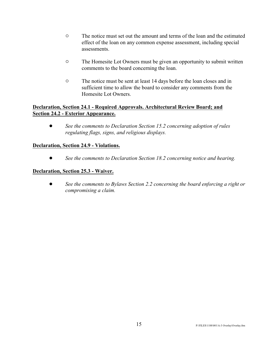- <sup>o</sup> The notice must set out the amount and terms of the loan and the estimated effect of the loan on any common expense assessment, including special assessments.
- <sup>o</sup> The Homesite Lot Owners must be given an opportunity to submit written comments to the board concerning the loan.
- <sup>o</sup> The notice must be sent at least 14 days before the loan closes and in sufficient time to allow the board to consider any comments from the Homesite Lot Owners.

#### **Declaration, Section 24.1 - Required Approvals. Architectural Review Board; and Section 24.2 - Exterior Appearance.**

! *See the comments to Declaration Section 15.2 concerning adoption of rules regulating flags, signs, and religious displays.*

### **Declaration, Section 24.9 - Violations.**

! *See the comments to Declaration Section 18.2 concerning notice and hearing.* 

### **Declaration, Section 25.3 - Waiver.**

! *See the comments to Bylaws Section 2.2 concerning the board enforcing a right or compromising a claim.*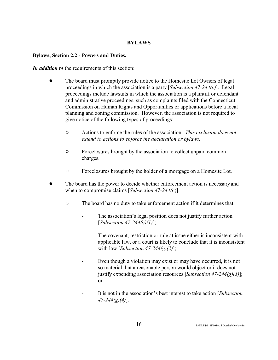#### **BYLAWS**

#### **Bylaws, Section 2.2 - Powers and Duties.**

*In addition to* the requirements of this section:

- The board must promptly provide notice to the Homesite Lot Owners of legal proceedings in which the association is a party [*Subsection 47-244(c)*]. Legal proceedings include lawsuits in which the association is a plaintiff or defendant and administrative proceedings, such as complaints filed with the Connecticut Commission on Human Rights and Opportunities or applications before a local planning and zoning commission. However, the association is not required to give notice of the following types of proceedings:
	- " Actions to enforce the rules of the association. *This exclusion does not extend to actions to enforce the declaration or bylaws.*
	- $\circ$  Foreclosures brought by the association to collect unpaid common charges.
	- $\circ$  Foreclosures brought by the holder of a mortgage on a Homesite Lot.
- The board has the power to decide whether enforcement action is necessary and when to compromise claims [*Subsection 47-244(g*)].
	- $\circ$  The board has no duty to take enforcement action if it determines that:
		- The association's legal position does not justify further action [*Subsection 47-244(g)(1)*];
		- The covenant, restriction or rule at issue either is inconsistent with applicable law, or a court is likely to conclude that it is inconsistent with law [*Subsection 47-244(g)(2)*];
		- Even though a violation may exist or may have occurred, it is not so material that a reasonable person would object or it does not justify expending association resources [*Subsection 47-244(g)(3)*]; or
		- It is not in the association's best interest to take action [*Subsection 47-244(g)(4)*].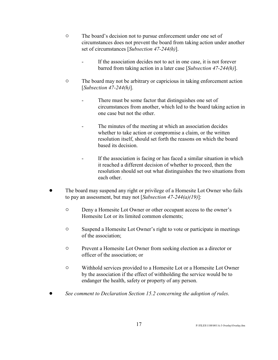- <sup>o</sup> The board's decision not to pursue enforcement under one set of circumstances does not prevent the board from taking action under another set of circumstances [*Subsection 47-244(h)*].
	- If the association decides not to act in one case, it is not forever barred from taking action in a later case [*Subsection 47-244(h)*].
- <sup>o</sup> The board may not be arbitrary or capricious in taking enforcement action [*Subsection 47-244(h)*].
	- There must be some factor that distinguishes one set of circumstances from another, which led to the board taking action in one case but not the other.
	- The minutes of the meeting at which an association decides whether to take action or compromise a claim, or the written resolution itself, should set forth the reasons on which the board based its decision.
	- If the association is facing or has faced a similar situation in which it reached a different decision of whether to proceed, then the resolution should set out what distinguishes the two situations from each other.
- ! The board may suspend any right or privilege of a Homesite Lot Owner who fails to pay an assessment, but may not [*Subsection 47-244(a)(19)*]:
	- $\circ$  Deny a Homesite Lot Owner or other occupant access to the owner's Homesite Lot or its limited common elements;
	- $\circ$  Suspend a Homesite Lot Owner's right to vote or participate in meetings of the association;
	- " Prevent a Homesite Lot Owner from seeking election as a director or officer of the association; or
	- $\circ$  Withhold services provided to a Homesite Lot or a Homesite Lot Owner by the association if the effect of withholding the service would be to endanger the health, safety or property of any person.
- ! *See comment to Declaration Section 15.2 concerning the adoption of rules*.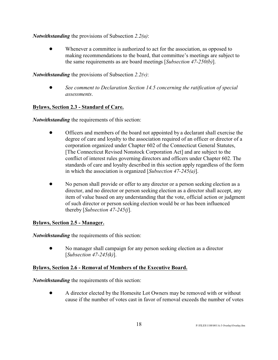*Notwithstanding* the provisions of Subsection *2.2(u)*:

Whenever a committee is authorized to act for the association, as opposed to making recommendations to the board, that committee's meetings are subject to the same requirements as are board meetings [*Subsection 47-250(b)*].

*Notwithstanding* the provisions of Subsection *2.2(v)*:

! *See comment to Declaration Section 14.5 concerning the ratification of special assessments*.

# **Bylaws, Section 2.3 - Standard of Care.**

*Notwithstanding* the requirements of this section:

- ! Officers and members of the board not appointed by a declarant shall exercise the degree of care and loyalty to the association required of an officer or director of a corporation organized under Chapter 602 of the Connecticut General Statutes, [The Connecticut Revised Nonstock Corporation Act] and are subject to the conflict of interest rules governing directors and officers under Chapter 602. The standards of care and loyalty described in this section apply regardless of the form in which the association is organized [*Subsection 47-245(a)*].
- ! No person shall provide or offer to any director or a person seeking election as a director, and no director or person seeking election as a director shall accept, any item of value based on any understanding that the vote, official action or judgment of such director or person seeking election would be or has been influenced thereby [*Subsection 47-245(j*].

# **Bylaws, Section 2.5 - Manager.**

*Notwithstanding* the requirements of this section:

! No manager shall campaign for any person seeking election as a director [*Subsection 47-245(k)*].

# **Bylaws, Section 2.6 - Removal of Members of the Executive Board.**

*Notwithstanding* the requirements of this section:

• A director elected by the Homesite Lot Owners may be removed with or without cause if the number of votes cast in favor of removal exceeds the number of votes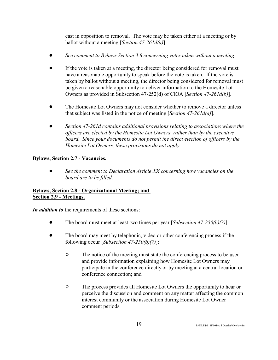cast in opposition to removal. The vote may be taken either at a meeting or by ballot without a meeting [*Section 47-261d(a)*].

- ! *See comment to Bylaws Section 3.8 concerning votes taken without a meeting.*
- ! If the vote is taken at a meeting, the director being considered for removal must have a reasonable opportunity to speak before the vote is taken. If the vote is taken by ballot without a meeting, the director being considered for removal must be given a reasonable opportunity to deliver information to the Homesite Lot Owners as provided in Subsection 47-252(d) of CIOA [*Section 47-261d(b)*].
- The Homesite Lot Owners may not consider whether to remove a director unless that subject was listed in the notice of meeting [*Section 47-261d(a)*].
- ! *Section 47-261d contains additional provisions relating to associations where the officers are elected by the Homesite Lot Owners, rather than by the executive board. Since your documents do not permit the direct election of officers by the Homesite Lot Owners, these provisions do not apply.*

### **Bylaws, Section 2.7 - Vacancies.**

! *See the comment to Declaration Article XX concerning how vacancies on the board are to be filled*.

#### **Bylaws, Section 2.8 - Organizational Meeting; and Section 2.9 - Meetings.**

*In addition to* the requirements of these sections:

- ! The board must meet at least two times per year [*Subsection 47-250(b)(3)*].
- The board may meet by telephonic, video or other conferencing process if the following occur [*Subsection 47-250(b)(7)*]:
	- <sup>o</sup> The notice of the meeting must state the conferencing process to be used and provide information explaining how Homesite Lot Owners may participate in the conference directly or by meeting at a central location or conference connection; and
	- <sup> $\circ$ </sup> The process provides all Homesite Lot Owners the opportunity to hear or perceive the discussion and comment on any matter affecting the common interest community or the association during Homesite Lot Owner comment periods.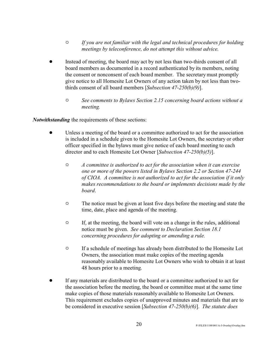- " *If you are not familiar with the legal and technical procedures for holding meetings by teleconference, do not attempt this without advice.*
- ! Instead of meeting, the board may act by not less than two-thirds consent of all board members as documented in a record authenticated by its members, noting the consent or nonconsent of each board member. The secretary must promptly give notice to all Homesite Lot Owners of any action taken by not less than twothirds consent of all board members [*Subsection 47-250(b)(9)*].
	- " *See comments to Bylaws Section 2.15 concerning board actions without a meeting.*

*Notwithstanding* the requirements of these sections:

- Unless a meeting of the board or a committee authorized to act for the association is included in a schedule given to the Homesite Lot Owners, the secretary or other officer specified in the bylaws must give notice of each board meeting to each director and to each Homesite Lot Owner [*Subsection 47-250(b)(5)*].
	- " *A committee is authorized to act for the association when it can exercise one or more of the powers listed in Bylaws Section 2.2 or Section 47-244 of CIOA. A committee is not authorized to act for the association if it only makes recommendations to the board or implements decisions made by the board*.
	- <sup>o</sup> The notice must be given at least five days before the meeting and state the time, date, place and agenda of the meeting.
	- $\circ$  If, at the meeting, the board will vote on a change in the rules, additional notice must be given. *See comment to Declaration Section 18.1 concerning procedures for adopting or amending a rule.*
	- <sup>o</sup> If a schedule of meetings has already been distributed to the Homesite Lot Owners, the association must make copies of the meeting agenda reasonably available to Homesite Lot Owners who wish to obtain it at least 48 hours prior to a meeting.
- ! If any materials are distributed to the board or a committee authorized to act for the association before the meeting, the board or committee must at the same time make copies of those materials reasonably available to Homesite Lot Owners. This requirement excludes copies of unapproved minutes and materials that are to be considered in executive session [*Subsection 47-250(b)(6)*]. *The statute does*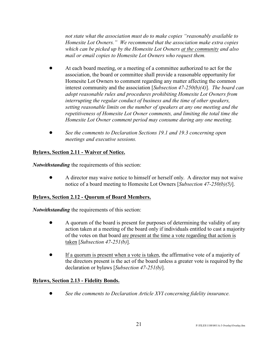*not state what the association must do to make copies "reasonably available to Homesite Lot Owners." We recommend that the association make extra copies which can be picked up by the Homesite Lot Owners at the community and also mail or email copies to Homesite Lot Owners who request them.*

- ! At each board meeting, or a meeting of a committee authorized to act for the association, the board or committee shall provide a reasonable opportunity for Homesite Lot Owners to comment regarding any matter affecting the common interest community and the association [*Subsection 47-250(b)(4)*]. *The board can adopt reasonable rules and procedures prohibiting Homesite Lot Owners from interrupting the regular conduct of business and the time of other speakers, setting reasonable limits on the number of speakers at any one meeting and the repetitiveness of Homesite Lot Owner comments, and limiting the total time the Homesite Lot Owner comment period may consume during any one meeting.*
- ! *See the comments to Declaration Sections 19.1 and 19.3 concerning open meetings and executive sessions.*

# **Bylaws, Section 2.11 - Waiver of Notice.**

*Notwithstanding* the requirements of this section:

! A director may waive notice to himself or herself only. A director may not waive notice of a board meeting to Homesite Lot Owners [*Subsection 47-250(b)(5)*].

#### **Bylaws, Section 2.12 - Quorum of Board Members.**

*Notwithstanding* the requirements of this section:

- A quorum of the board is present for purposes of determining the validity of any action taken at a meeting of the board only if individuals entitled to cast a majority of the votes on that board are present at the time a vote regarding that action is taken [*Subsection 47-251(b)*].
- If a quorum is present when a vote is taken, the affirmative vote of a majority of the directors present is the act of the board unless a greater vote is required by the declaration or bylaws [*Subsection 47-251(b)*].

#### **Bylaws, Section 2.13 - Fidelity Bonds.**

! *See the comments to Declaration Article XVI concerning fidelity insurance.*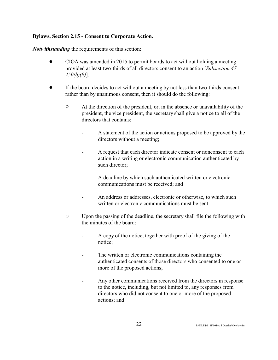#### **Bylaws, Section 2.15 - Consent to Corporate Action.**

*Notwithstanding* the requirements of this section:

- CIOA was amended in 2015 to permit boards to act without holding a meeting provided at least two-thirds of all directors consent to an action [*Subsection 47- 250(b)(9)*].
- ! If the board decides to act without a meeting by not less than two-thirds consent rather than by unanimous consent, then it should do the following:
	- $\circ$  At the direction of the president, or, in the absence or unavailability of the president, the vice president, the secretary shall give a notice to all of the directors that contains:
		- A statement of the action or actions proposed to be approved by the directors without a meeting;
		- A request that each director indicate consent or nonconsent to each action in a writing or electronic communication authenticated by such director;
		- A deadline by which such authenticated written or electronic communications must be received; and
		- An address or addresses, electronic or otherwise, to which such written or electronic communications must be sent.
	- " Upon the passing of the deadline, the secretary shall file the following with the minutes of the board:
		- A copy of the notice, together with proof of the giving of the notice;
		- The written or electronic communications containing the authenticated consents of those directors who consented to one or more of the proposed actions;
		- Any other communications received from the directors in response to the notice, including, but not limited to, any responses from directors who did not consent to one or more of the proposed actions; and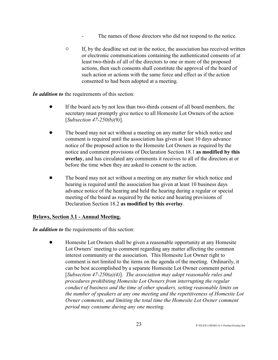- The names of those directors who did not respond to the notice.
- $\circ$  If, by the deadline set out in the notice, the association has received written or electronic communications containing the authenticated consents of at least two-thirds of all of the directors to one or more of the proposed actions, then such consents shall constitute the approval of the board of such action or actions with the same force and effect as if the action consented to had been adopted at a meeting.

*In addition to* the requirements of this section:

- ! If the board acts by not less than two-thirds consent of all board members, the secretary must promptly give notice to all Homesite Lot Owners of the action [*Subsection 47-250(b)(9)*].
- The board may not act without a meeting on any matter for which notice and comment is required until the association has given at least 10 days advance notice of the proposed action to the Homesite Lot Owners as required by the notice and comment provisions of Declaration Section 18.1 **as modified by this overlay**, and has circulated any comments it receives to all of the directors at or before the time when they are asked to consent to the action.
- The board may not act without a meeting on any matter for which notice and hearing is required until the association has given at least 10 business days advance notice of the hearing and held the hearing during a regular or special meeting of the board as required by the notice and hearing provisions of Declaration Section 18.2 **as modified by this overlay**.

#### **Bylaws, Section 3.1 - Annual Meeting.**

*In addition to* the requirements of this section:

! Homesite Lot Owners shall be given a reasonable opportunity at any Homesite Lot Owners' meeting to comment regarding any matter affecting the common interest community or the association. This Homesite Lot Owner right to comment is not limited to the items on the agenda of the meeting. Ordinarily, it can be best accomplished by a separate Homesite Lot Owner comment period [*Subsection 47-250(a)(4)*]. *The association may adopt reasonable rules and procedures prohibiting Homesite Lot Owners from interrupting the regular conduct of business and the time of other speakers, setting reasonable limits on the number of speakers at any one meeting and the repetitiveness of Homesite Lot Owner comments, and limiting the total time the Homesite Lot Owner comment period may consume during any one meeting.*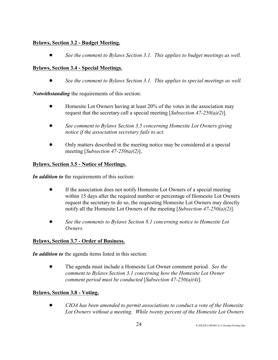### **Bylaws, Section 3.2 - Budget Meeting.**

! *See the comment to Bylaws Section 3.1. This applies to budget meetings as well.*

# **Bylaws, Section 3.4 - Special Meetings.**

! *See the comment to Bylaws Section 3.1. This applies to special meetings as well.*

*Notwithstanding* the requirements of this section:

- Homesite Lot Owners having at least 20% of the votes in the association may request that the secretary call a special meeting [*Subsection 47-250(a)(2)*].
- ! *See comment to Bylaws Section 3.5 concerning Homesite Lot Owners giving notice if the association secretary fails to act.*
- ! Only matters described in the meeting notice may be considered at a special meeting [*Subsection 47-250(a)(2)*].

# **Bylaws, Section 3.5 - Notice of Meetings.**

*In addition to* the requirements of this section:

- ! If the association does not notify Homesite Lot Owners of a special meeting within 15 days after the required number or percentage of Homesite Lot Owners request the secretary to do so, the requesting Homesite Lot Owners may directly notify all the Homesite Lot Owners of the meeting [*Subsection 47-250(a)(2)*].
- ! *See the comments to Bylaws Section 8.1 concerning notice to Homesite Lot Owners.*

# **Bylaws, Section 3.7 - Order of Business.**

*In addition to* the agenda items listed in this section:

! The agenda must include a Homesite Lot Owner comment period. *See the comment to Bylaws Section 3.1 concerning how the Homesite Lot Owner comment period must be conducted* [*Subsection 47-250(a)(4)*].

# **Bylaws, Section 3.8 - Voting.**

! *CIOA has been amended to permit associations to conduct a vote of the Homesite Lot Owners without a meeting. While twenty percent of the Homesite Lot Owners*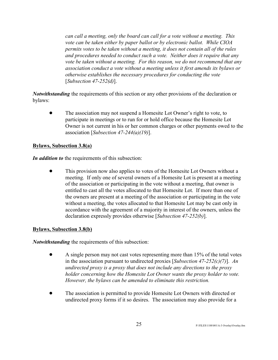*can call a meeting, only the board can call for a vote without a meeting. This vote can be taken either by paper ballot or by electronic ballot. While CIOA permits votes to be taken without a meeting, it does not contain all of the rules and procedures needed to conduct such a vote. Neither does it require that any vote be taken without a meeting. For this reason, we do not recommend that any association conduct a vote without a meeting unless it first amends its bylaws or otherwise establishes the necessary procedures for conducting the vote* [*Subsection 47-252(d)*].

*Notwithstanding* the requirements of this section or any other provisions of the declaration or bylaws:

! The association may not suspend a Homesite Lot Owner's right to vote, to participate in meetings or to run for or hold office because the Homesite Lot Owner is not current in his or her common charges or other payments owed to the association [*Subsection 47-244(a)(19)*].

#### **Bylaws, Subsection 3.8(a)**

*In addition to* the requirements of this subsection:

! This provision now also applies to votes of the Homesite Lot Owners without a meeting. If only one of several owners of a Homesite Lot is present at a meeting of the association or participating in the vote without a meeting, that owner is entitled to cast all the votes allocated to that Homesite Lot. If more than one of the owners are present at a meeting of the association or participating in the vote without a meeting, the votes allocated to that Homesite Lot may be cast only in accordance with the agreement of a majority in interest of the owners, unless the declaration expressly provides otherwise [*Subsection 47-252(b)*].

#### **Bylaws, Subsection 3.8(b)**

*Notwithstanding* the requirements of this subsection:

- ! A single person may not cast votes representing more than 15% of the total votes in the association pursuant to undirected proxies [*Subsection 47-252(c)(7)*]. *An undirected proxy is a proxy that does not include any directions to the proxy holder concerning how the Homesite Lot Owner wants the proxy holder to vote. However, the bylaws can be amended to eliminate this restriction.*
- ! The association is permitted to provide Homesite Lot Owners with directed or undirected proxy forms if it so desires. The association may also provide for a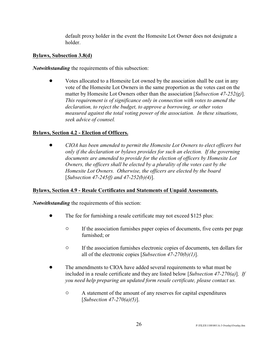default proxy holder in the event the Homesite Lot Owner does not designate a holder.

#### **Bylaws, Subsection 3.8(d)**

*Notwithstanding* the requirements of this subsection:

• Votes allocated to a Homesite Lot owned by the association shall be cast in any vote of the Homesite Lot Owners in the same proportion as the votes cast on the matter by Homesite Lot Owners other than the association [*Subsection 47-252(g)*]. *This requirement is of significance only in connection with votes to amend the declaration, to reject the budget, to approve a borrowing, or other votes measured against the total voting power of the association. In these situations, seek advice of counsel.*

#### **Bylaws, Section 4.2 - Election of Officers.**

! *CIOA has been amended to permit the Homesite Lot Owners to elect officers but only if the declaration or bylaws provides for such an election. If the governing documents are amended to provide for the election of officers by Homesite Lot Owners, the officers shall be elected by a plurality of the votes cast by the Homesite Lot Owners. Otherwise, the officers are elected by the board* [*Subsection 47-245(f) and 47-252(b)(4)*].

#### **Bylaws, Section 4.9 - Resale Certificates and Statements of Unpaid Assessments.**

*Notwithstanding* the requirements of this section:

- The fee for furnishing a resale certificate may not exceed \$125 plus:
	- <sup>o</sup> If the association furnishes paper copies of documents, five cents per page furnished; or
	- <sup> $\circ$ </sup> If the association furnishes electronic copies of documents, ten dollars for all of the electronic copies [*Subsection 47-270(b)(1)*].
- ! The amendments to CIOA have added several requirements to what must be included in a resale certificate and they are listed below [*Subsection 47-270(a)*]. *If you need help preparing an updated form resale certificate, please contact us.*
	- $\circ$  A statement of the amount of any reserves for capital expenditures [*Subsection 47-270(a)(5)*].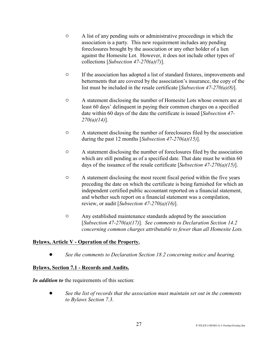- $\circ$  A list of any pending suits or administrative proceedings in which the association is a party. This new requirement includes any pending foreclosures brought by the association or any other holder of a lien against the Homesite Lot. However, it does not include other types of collections [*Subsection 47-270(a)(7)*].
- $\circ$  If the association has adopted a list of standard fixtures, improvements and betterments that are covered by the association's insurance, the copy of the list must be included in the resale certificate [*Subsection 47-270(a)(8)*].
- $\circ$  A statement disclosing the number of Homesite Lots whose owners are at least 60 days' delinquent in paying their common charges on a specified date within 60 days of the date the certificate is issued [*Subsection 47- 270(a)(14)*].
- $\circ$  A statement disclosing the number of foreclosures filed by the association during the past 12 months [*Subsection 47-270(a)(15)*].
- $\circ$  A statement disclosing the number of foreclosures filed by the association which are still pending as of a specified date. That date must be within 60 days of the issuance of the resale certificate [*Subsection 47-270(a)(15)*].
- $\circ$  A statement disclosing the most recent fiscal period within the five years preceding the date on which the certificate is being furnished for which an independent certified public accountant reported on a financial statement, and whether such report on a financial statement was a compilation, review, or audit [*Subsection 47-270(a)(16)*].
- $\circ$  Any established maintenance standards adopted by the association [*Subsection 47-270(a)(17)*]. *See comments to Declaration Section 14.2 concerning common charges attributable to fewer than all Homesite Lots.*

# **Bylaws, Article V - Operation of the Property.**

! *See the comments to Declaration Section 18.2 concerning notice and hearing.* 

# **Bylaws, Section 7.1 - Records and Audits.**

*In addition to* the requirements of this section:

! *See the list of records that the association must maintain set out in the comments to Bylaws Section 7.3*.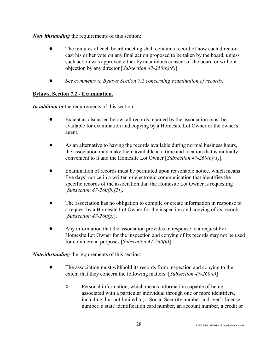*Notwithstanding* the requirements of this section:

- ! The minutes of each board meeting shall contain a record of how each director cast his or her vote on any final action proposed to be taken by the board, unless such action was approved either by unanimous consent of the board or without objection by any director [*Subsection 47-250(b)(8)*].
- ! *See comments to Bylaws Section 7.2 concerning examination of records*.

# **Bylaws, Section 7.2 - Examination.**

*In addition to* the requirements of this section:

- ! Except as discussed below, all records retained by the association must be available for examination and copying by a Homesite Lot Owner or the owner's agent.
- ! As an alternative to having the records available during normal business hours, the association may make them available at a time and location that is mutually convenient to it and the Homesite Lot Owner [*Subsection 47-260(b)(1)*]*.*
- Examination of records must be permitted upon reasonable notice, which means five days' notice in a written or electronic communication that identifies the specific records of the association that the Homesite Lot Owner is requesting [*Subsection 47-260(b)(2)*].
- ! The association has no obligation to compile or create information in response to a request by a Homesite Lot Owner for the inspection and copying of its records [*Subsection 47-260(g)*].
- ! Any information that the association provides in response to a request by a Homesite Lot Owner for the inspection and copying of its records may not be used for commercial purposes [*Subsection 47-260(h)*].

*Notwithstanding* the requirements of this section:

- ! The association must withhold its records from inspection and copying to the extent that they concern the following matters: [*Subsection 47-260(c)*]
	- $\circ$  Personal information, which means information capable of being associated with a particular individual through one or more identifiers, including, but not limited to, a Social Security number, a driver's license number, a state identification card number, an account number, a credit or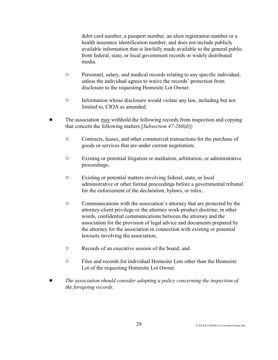debit card number, a passport number, an alien registration number or a health insurance identification number, and does not include publicly available information that is lawfully made available to the general public from federal, state, or local government records or widely distributed media.

- $\circ$  Personnel, salary, and medical records relating to any specific individual, unless the individual agrees to waive the records' protection from disclosure to the requesting Homesite Lot Owner.
- $\circ$  Information whose disclosure would violate any law, including but not limited to, CIOA as amended.
- ! The association may withhold the following records from inspection and copying that concern the following matters [*Subsection 47-260(d)*]:
	- $\circ$  Contracts, leases, and other commercial transactions for the purchase of goods or services that are under current negotiation;
	- $\circ$  Existing or potential litigation or mediation, arbitration, or administrative proceedings;
	- $\circ$  Existing or potential matters involving federal, state, or local administrative or other formal proceedings before a governmental tribunal for the enforcement of the declaration, bylaws, or rules;
	- $\circ$  Communications with the association's attorney that are protected by the attorney-client privilege or the attorney work-product doctrine; in other words, confidential communications between the attorney and the association for the provision of legal advice and documents prepared by the attorney for the association in connection with existing or potential lawsuits involving the association;
	- $\circ$  Records of an executive session of the board; and
	- " Files and records for individual Homesite Lots other than the Homesite Lot of the requesting Homesite Lot Owner.
- ! *The association should consider adopting a policy concerning the inspection of the foregoing records.*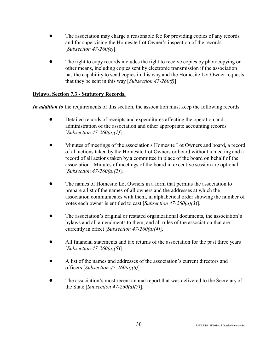- The association may charge a reasonable fee for providing copies of any records and for supervising the Homesite Lot Owner's inspection of the records [*Subsection 47-260(e)*].
- The right to copy records includes the right to receive copies by photocopying or other means, including copies sent by electronic transmission if the association has the capability to send copies in this way and the Homesite Lot Owner requests that they be sent in this way [*Subsection 47-260(f)*].

### **Bylaws, Section 7.3 - Statutory Records.**

*In addition to* the requirements of this section, the association must keep the following records:

- Detailed records of receipts and expenditures affecting the operation and administration of the association and other appropriate accounting records [*Subsection 47-260(a)(1)*]*.*
- ! Minutes of meetings of the association's Homesite Lot Owners and board, a record of all actions taken by the Homesite Lot Owners or board without a meeting and a record of all actions taken by a committee in place of the board on behalf of the association. Minutes of meetings of the board in executive session are optional [*Subsection 47-260(a)(2)*]*.*
- The names of Homesite Lot Owners in a form that permits the association to prepare a list of the names of all owners and the addresses at which the association communicates with them, in alphabetical order showing the number of votes each owner is entitled to cast [*Subsection 47-260(a)(3*)]*.*
- The association's original or restated organizational documents, the association's bylaws and all amendments to them, and all rules of the association that are currently in effect [*Subsection 47-260(a)(4)*].
- ! All financial statements and tax returns of the association for the past three years [*Subsection 47-260(a)(5*)]*.*
- ! A list of the names and addresses of the association's current directors and officers [*Subsection 47-260(a)(6)*]*.*
- ! The association's most recent annual report that was delivered to the Secretary of the State [*Subsection 47-260(a)(7)*].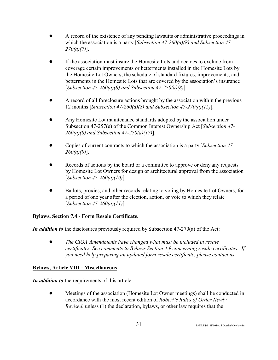- ! A record of the existence of any pending lawsuits or administrative proceedings in which the association is a party [*Subsection 47-260(a)(8) and Subsection 47- 270(a)(7)*].
- ! If the association must insure the Homesite Lots and decides to exclude from coverage certain improvements or betterments installed in the Homesite Lots by the Homesite Lot Owners, the schedule of standard fixtures, improvements, and betterments in the Homesite Lots that are covered by the association's insurance [*Subsection 47-260(a)(8) and Subsection 47-270(a)(8)*].
- A record of all foreclosure actions brought by the association within the previous 12 months [*Subsection 47-260(a)(8) and Subsection 47-270(a)(15)*]*.*
- ! Any Homesite Lot maintenance standards adopted by the association under Subsection 47-257(e) of the Common Interest Ownership Act [*Subsection 47- 260(a)(8) and Subsection 47-270(a)(17)*].
- ! Copies of current contracts to which the association is a party [*Subsection 47- 260(a)(9)*].
- Records of actions by the board or a committee to approve or deny any requests by Homesite Lot Owners for design or architectural approval from the association [*Subsection 47-260(a)(10)*].
- ! Ballots, proxies, and other records relating to voting by Homesite Lot Owners, for a period of one year after the election, action, or vote to which they relate [*Subsection 47-260(a)(11)*].

# **Bylaws, Section 7.4 - Form Resale Certificate.**

*In addition to* the disclosures previously required by Subsection 47-270(a) of the Act:

! *The CIOA Amendments have changed what must be included in resale certificates. See comments to Bylaws Section 4.9 concerning resale certificates. If you need help preparing an updated form resale certificate, please contact us.*

#### **Bylaws, Article VIII - Miscellaneous**

*In addition to* the requirements of this article:

• Meetings of the association (Homesite Lot Owner meetings) shall be conducted in accordance with the most recent edition of *Robert's Rules of Order Newly Revised*, unless (1) the declaration, bylaws, or other law requires that the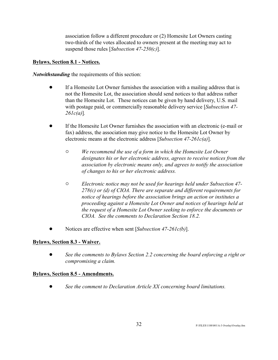association follow a different procedure or (2) Homesite Lot Owners casting two-thirds of the votes allocated to owners present at the meeting may act to suspend those rules [*Subsection 47-250(c)*].

#### **Bylaws, Section 8.1 - Notices.**

*Notwithstanding* the requirements of this section:

- ! If a Homesite Lot Owner furnishes the association with a mailing address that is not the Homesite Lot, the association should send notices to that address rather than the Homesite Lot. These notices can be given by hand delivery, U.S. mail with postage paid, or commercially reasonable delivery service [*Subsection 47- 261c(a)*]*.*
- ! If the Homesite Lot Owner furnishes the association with an electronic (e-mail or fax) address, the association may give notice to the Homesite Lot Owner by electronic means at the electronic address [*Subsection 47-261c(a)*].
	- " *We recommend the use of a form in which the Homesite Lot Owner designates his or her electronic address, agrees to receive notices from the association by electronic means only, and agrees to notify the association of changes to his or her electronic address.*
	- " *Electronic notice may not be used for hearings held under Subsection 47- 278(c) or (d) of CIOA. There are separate and different requirements for notice of hearings before the association brings an action or institutes a proceeding against a Homesite Lot Owner and notices of hearings held at the request of a Homesite Lot Owner seeking to enforce the documents or CIOA. See the comments to Declaration Section 18.2.*
- Notices are effective when sent [*Subsection 47-261c(b)*].

#### **Bylaws, Section 8.3 - Waiver.**

! *See the comments to Bylaws Section 2.2 concerning the board enforcing a right or compromising a claim.* 

#### **Bylaws, Section 8.5 - Amendments.**

! *See the comment to Declaration Article XX concerning board limitations.*